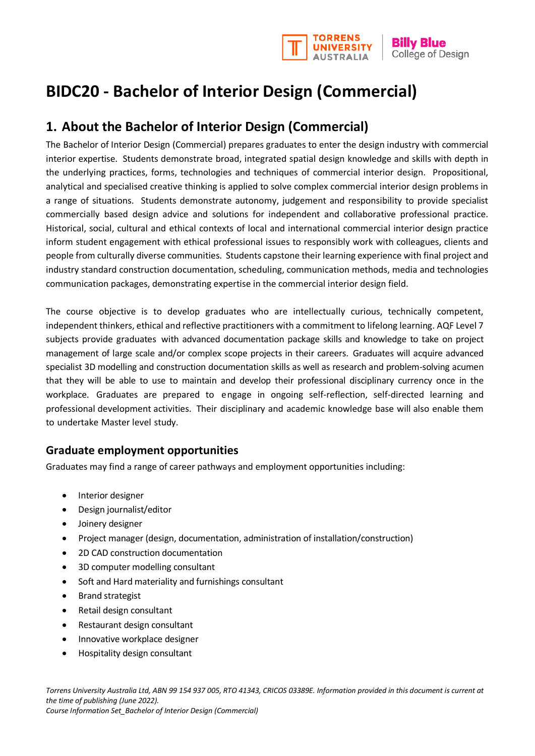

# **BIDC20 - Bachelor of Interior Design (Commercial)**

## **1. About the Bachelor of Interior Design (Commercial)**

The Bachelor of Interior Design (Commercial) prepares graduates to enter the design industry with commercial interior expertise. Students demonstrate broad, integrated spatial design knowledge and skills with depth in the underlying practices, forms, technologies and techniques of commercial interior design. Propositional, analytical and specialised creative thinking is applied to solve complex commercial interior design problems in a range of situations. Students demonstrate autonomy, judgement and responsibility to provide specialist commercially based design advice and solutions for independent and collaborative professional practice. Historical, social, cultural and ethical contexts of local and international commercial interior design practice inform student engagement with ethical professional issues to responsibly work with colleagues, clients and people from culturally diverse communities. Students capstone their learning experience with final project and industry standard construction documentation, scheduling, communication methods, media and technologies communication packages, demonstrating expertise in the commercial interior design field.

The course objective is to develop graduates who are intellectually curious, technically competent, independent thinkers, ethical and reflective practitioners with a commitment to lifelong learning. AQF Level 7 subjects provide graduates with advanced documentation package skills and knowledge to take on project management of large scale and/or complex scope projects in their careers. Graduates will acquire advanced specialist 3D modelling and construction documentation skills as well as research and problem-solving acumen that they will be able to use to maintain and develop their professional disciplinary currency once in the workplace. Graduates are prepared to engage in ongoing self-reflection, self-directed learning and professional development activities. Their disciplinary and academic knowledge base will also enable them to undertake Master level study.

## **Graduate employment opportunities**

Graduates may find a range of career pathways and employment opportunities including:

- Interior designer
- Design journalist/editor
- Joinery designer
- Project manager (design, documentation, administration of installation/construction)
- 2D CAD construction documentation
- 3D computer modelling consultant
- Soft and Hard materiality and furnishings consultant
- Brand strategist
- Retail design consultant
- Restaurant design consultant
- Innovative workplace designer
- Hospitality design consultant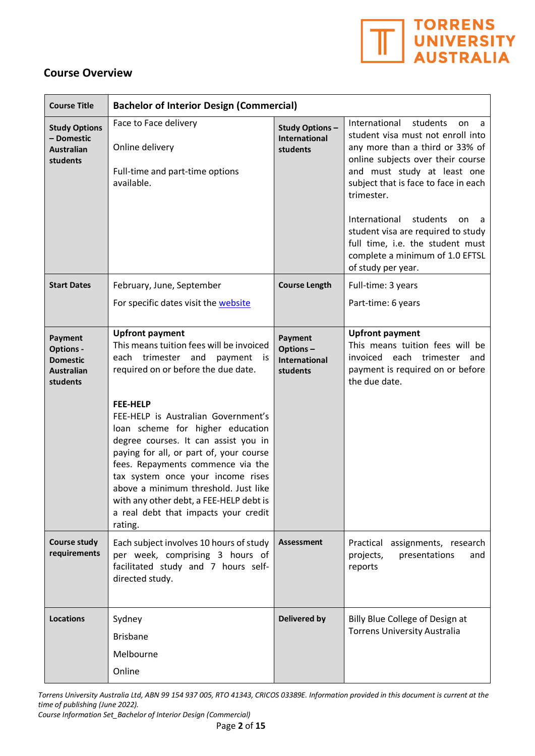

## **Course Overview**

| <b>Course Title</b>                                                                    | <b>Bachelor of Interior Design (Commercial)</b>                                                                                                                                                                                                                                                                                                                                                                                                                                                                                               |                                                         |                                                                                                                                                                                                                                                                                                                                                                                                                   |
|----------------------------------------------------------------------------------------|-----------------------------------------------------------------------------------------------------------------------------------------------------------------------------------------------------------------------------------------------------------------------------------------------------------------------------------------------------------------------------------------------------------------------------------------------------------------------------------------------------------------------------------------------|---------------------------------------------------------|-------------------------------------------------------------------------------------------------------------------------------------------------------------------------------------------------------------------------------------------------------------------------------------------------------------------------------------------------------------------------------------------------------------------|
| <b>Study Options</b><br>- Domestic<br><b>Australian</b><br>students                    | Face to Face delivery<br>Online delivery<br>Full-time and part-time options<br>available.                                                                                                                                                                                                                                                                                                                                                                                                                                                     | <b>Study Options-</b><br>International<br>students      | International<br>students<br>on<br>a<br>student visa must not enroll into<br>any more than a third or 33% of<br>online subjects over their course<br>and must study at least one<br>subject that is face to face in each<br>trimester.<br>International<br>students<br>on<br>a<br>student visa are required to study<br>full time, i.e. the student must<br>complete a minimum of 1.0 EFTSL<br>of study per year. |
| <b>Start Dates</b>                                                                     | February, June, September                                                                                                                                                                                                                                                                                                                                                                                                                                                                                                                     | <b>Course Length</b>                                    | Full-time: 3 years                                                                                                                                                                                                                                                                                                                                                                                                |
|                                                                                        | For specific dates visit the website                                                                                                                                                                                                                                                                                                                                                                                                                                                                                                          |                                                         | Part-time: 6 years                                                                                                                                                                                                                                                                                                                                                                                                |
| <b>Payment</b><br><b>Options -</b><br><b>Domestic</b><br><b>Australian</b><br>students | <b>Upfront payment</b><br>This means tuition fees will be invoiced<br>each trimester and<br>payment<br>is is<br>required on or before the due date.<br>FEE-HELP<br>FEE-HELP is Australian Government's<br>loan scheme for higher education<br>degree courses. It can assist you in<br>paying for all, or part of, your course<br>fees. Repayments commence via the<br>tax system once your income rises<br>above a minimum threshold. Just like<br>with any other debt, a FEE-HELP debt is<br>a real debt that impacts your credit<br>rating. | Payment<br>Options-<br><b>International</b><br>students | <b>Upfront payment</b><br>This means tuition fees will be<br>invoiced each trimester<br>and<br>payment is required on or before<br>the due date.                                                                                                                                                                                                                                                                  |
| <b>Course study</b><br>requirements                                                    | Each subject involves 10 hours of study<br>per week, comprising 3 hours of<br>facilitated study and 7 hours self-<br>directed study.                                                                                                                                                                                                                                                                                                                                                                                                          | <b>Assessment</b>                                       | assignments, research<br>Practical<br>projects,<br>presentations<br>and<br>reports                                                                                                                                                                                                                                                                                                                                |
| <b>Locations</b>                                                                       | Sydney<br><b>Brisbane</b><br>Melbourne<br>Online                                                                                                                                                                                                                                                                                                                                                                                                                                                                                              | <b>Delivered by</b>                                     | Billy Blue College of Design at<br><b>Torrens University Australia</b>                                                                                                                                                                                                                                                                                                                                            |

*Torrens University Australia Ltd, ABN 99 154 937 005, RTO 41343, CRICOS 03389E. Information provided in this document is current at the time of publishing (June 2022).* 

*Course Information Set\_Bachelor of Interior Design (Commercial)*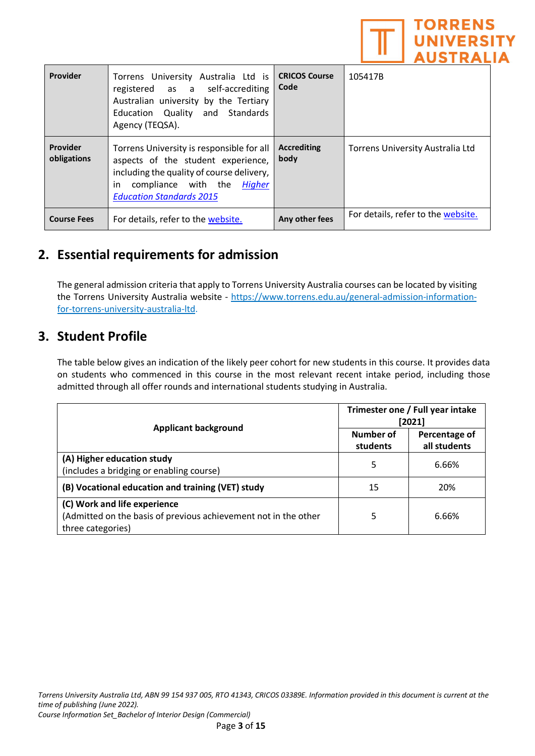

| Provider                | Torrens University Australia Ltd is<br>registered as a self-accrediting<br>Australian university by the Tertiary<br>Education Quality and Standards<br>Agency (TEQSA).                               | <b>CRICOS Course</b><br>Code | 105417B                            |
|-------------------------|------------------------------------------------------------------------------------------------------------------------------------------------------------------------------------------------------|------------------------------|------------------------------------|
| Provider<br>obligations | Torrens University is responsible for all<br>aspects of the student experience,<br>including the quality of course delivery,<br>compliance with the Higher<br>in.<br><b>Education Standards 2015</b> | <b>Accrediting</b><br>body   | Torrens University Australia Ltd   |
| <b>Course Fees</b>      | For details, refer to the website.                                                                                                                                                                   | Any other fees               | For details, refer to the website. |

## **2. Essential requirements for admission**

The general admission criteria that apply to Torrens University Australia courses can be located by visiting the Torrens University Australia website - [https://www.torrens.edu.au/general-admission-information](https://www.torrens.edu.au/general-admission-information-for-torrens-university-australia-ltd)[for-torrens-university-australia-ltd.](https://www.torrens.edu.au/general-admission-information-for-torrens-university-australia-ltd)

## **3. Student Profile**

The table below gives an indication of the likely peer cohort for new students in this course. It provides data on students who commenced in this course in the most relevant recent intake period, including those admitted through all offer rounds and international students studying in Australia.

|                                                                                                                      | Trimester one / Full year intake<br>[2021] |                               |
|----------------------------------------------------------------------------------------------------------------------|--------------------------------------------|-------------------------------|
| <b>Applicant background</b>                                                                                          | Number of<br>students                      | Percentage of<br>all students |
| (A) Higher education study<br>(includes a bridging or enabling course)                                               | 5                                          | 6.66%                         |
| (B) Vocational education and training (VET) study                                                                    | 15                                         | 20%                           |
| (C) Work and life experience<br>(Admitted on the basis of previous achievement not in the other<br>three categories) | 5                                          | 6.66%                         |

*Torrens University Australia Ltd, ABN 99 154 937 005, RTO 41343, CRICOS 03389E. Information provided in this document is current at the time of publishing (June 2022).* 

*Course Information Set\_Bachelor of Interior Design (Commercial)*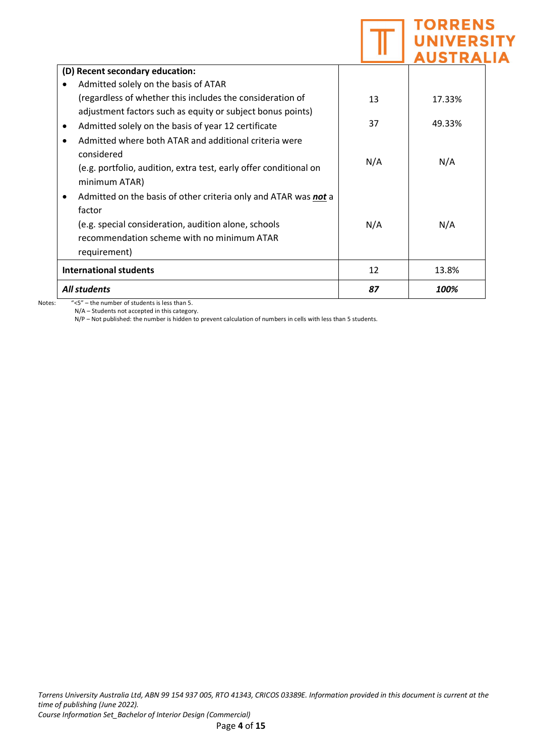|                                                                   |     | <b>TORRENS</b><br><b>NIVERSI</b><br><b>AUSTRALIA</b> |  |
|-------------------------------------------------------------------|-----|------------------------------------------------------|--|
| (D) Recent secondary education:                                   |     |                                                      |  |
| Admitted solely on the basis of ATAR                              |     |                                                      |  |
| (regardless of whether this includes the consideration of         | 13  | 17.33%                                               |  |
| adjustment factors such as equity or subject bonus points)        |     |                                                      |  |
| Admitted solely on the basis of year 12 certificate               | 37  | 49.33%                                               |  |
| Admitted where both ATAR and additional criteria were             |     |                                                      |  |
| considered                                                        |     |                                                      |  |
| (e.g. portfolio, audition, extra test, early offer conditional on | N/A | N/A                                                  |  |
| minimum ATAR)                                                     |     |                                                      |  |
| Admitted on the basis of other criteria only and ATAR was not a   |     |                                                      |  |
| factor                                                            |     |                                                      |  |
| (e.g. special consideration, audition alone, schools              | N/A | N/A                                                  |  |
| recommendation scheme with no minimum ATAR                        |     |                                                      |  |
| requirement)                                                      |     |                                                      |  |
| <b>International students</b>                                     | 12  | 13.8%                                                |  |
| <b>All students</b>                                               | 87  | 100%                                                 |  |

Notes: "<5" – the number of students is less than 5. N/A – Students not accepted in this category.

N/P – Not published: the number is hidden to prevent calculation of numbers in cells with less than 5 students.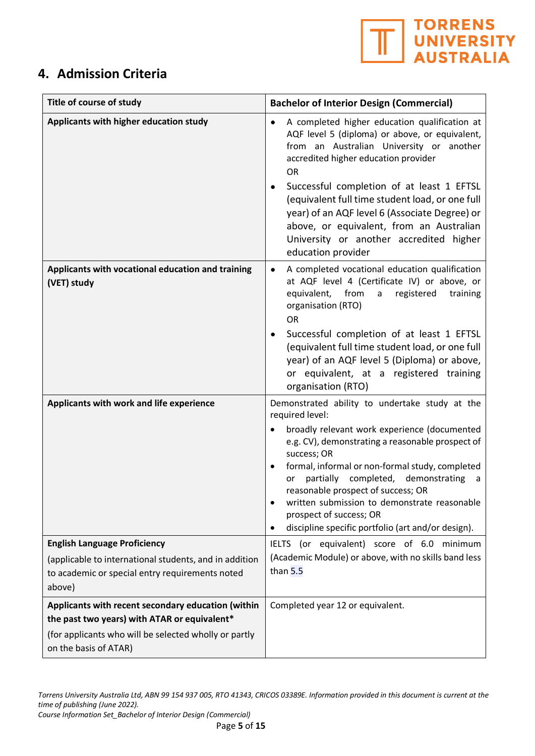

## **4. Admission Criteria**

| Title of course of study                                                                                                       | <b>Bachelor of Interior Design (Commercial)</b>                                                                                                                                                                                                                                                                                                                                               |  |
|--------------------------------------------------------------------------------------------------------------------------------|-----------------------------------------------------------------------------------------------------------------------------------------------------------------------------------------------------------------------------------------------------------------------------------------------------------------------------------------------------------------------------------------------|--|
| Applicants with higher education study                                                                                         | A completed higher education qualification at<br>٠<br>AQF level 5 (diploma) or above, or equivalent,<br>from an Australian University or another<br>accredited higher education provider<br><b>OR</b>                                                                                                                                                                                         |  |
|                                                                                                                                | Successful completion of at least 1 EFTSL<br>(equivalent full time student load, or one full<br>year) of an AQF level 6 (Associate Degree) or<br>above, or equivalent, from an Australian<br>University or another accredited higher<br>education provider                                                                                                                                    |  |
| Applicants with vocational education and training<br>(VET) study                                                               | A completed vocational education qualification<br>٠<br>at AQF level 4 (Certificate IV) or above, or<br>from<br>equivalent,<br>registered<br>a<br>training<br>organisation (RTO)<br><b>OR</b>                                                                                                                                                                                                  |  |
|                                                                                                                                | Successful completion of at least 1 EFTSL<br>(equivalent full time student load, or one full<br>year) of an AQF level 5 (Diploma) or above,<br>or equivalent, at a registered training<br>organisation (RTO)                                                                                                                                                                                  |  |
| Applicants with work and life experience                                                                                       | Demonstrated ability to undertake study at the<br>required level:                                                                                                                                                                                                                                                                                                                             |  |
|                                                                                                                                | broadly relevant work experience (documented<br>e.g. CV), demonstrating a reasonable prospect of<br>success; OR<br>formal, informal or non-formal study, completed<br>partially<br>completed, demonstrating<br>or<br>a<br>reasonable prospect of success; OR<br>written submission to demonstrate reasonable<br>prospect of success; OR<br>discipline specific portfolio (art and/or design). |  |
| <b>English Language Proficiency</b>                                                                                            | IELTS (or equivalent) score of 6.0 minimum                                                                                                                                                                                                                                                                                                                                                    |  |
| (applicable to international students, and in addition<br>to academic or special entry requirements noted<br>above)            | (Academic Module) or above, with no skills band less<br>than $5.5$                                                                                                                                                                                                                                                                                                                            |  |
| Applicants with recent secondary education (within                                                                             | Completed year 12 or equivalent.                                                                                                                                                                                                                                                                                                                                                              |  |
| the past two years) with ATAR or equivalent*<br>(for applicants who will be selected wholly or partly<br>on the basis of ATAR) |                                                                                                                                                                                                                                                                                                                                                                                               |  |

*Torrens University Australia Ltd, ABN 99 154 937 005, RTO 41343, CRICOS 03389E. Information provided in this document is current at the time of publishing (June 2022). Course Information Set\_Bachelor of Interior Design (Commercial)*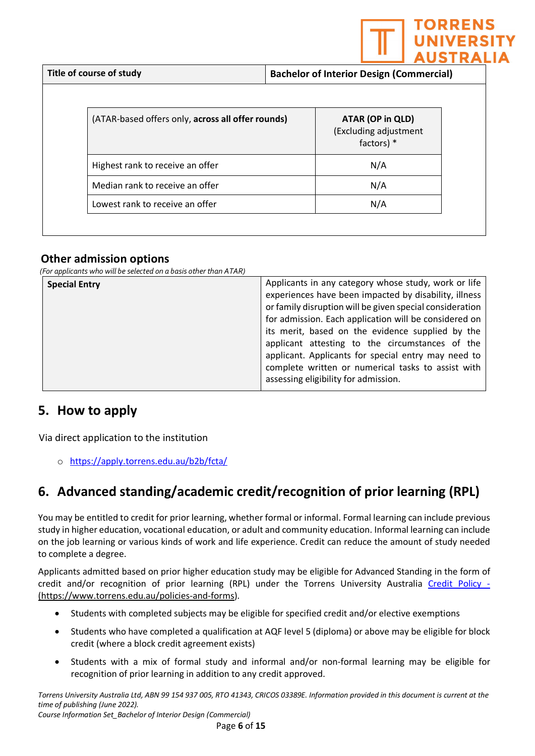

| (ATAR-based offers only, across all offer rounds) | ATAR (OP in QLD)<br>(Excluding adjustment<br>factors) $*$ |
|---------------------------------------------------|-----------------------------------------------------------|
| Highest rank to receive an offer                  | N/A                                                       |
| Median rank to receive an offer                   | N/A                                                       |
| Lowest rank to receive an offer                   | N/A                                                       |

## **Other admission options**

*(For applicants who will be selected on a basis other than ATAR)*

| <b>Special Entry</b> | Applicants in any category whose study, work or life     |
|----------------------|----------------------------------------------------------|
|                      | experiences have been impacted by disability, illness    |
|                      | or family disruption will be given special consideration |
|                      | for admission. Each application will be considered on    |
|                      | its merit, based on the evidence supplied by the         |
|                      | applicant attesting to the circumstances of the          |
|                      | applicant. Applicants for special entry may need to      |
|                      | complete written or numerical tasks to assist with       |
|                      | assessing eligibility for admission.                     |
|                      |                                                          |

## **5. How to apply**

Via direct application to the institution

o <https://apply.torrens.edu.au/b2b/fcta/>

## **6. Advanced standing/academic credit/recognition of prior learning (RPL)**

You may be entitled to credit for prior learning, whether formal or informal. Formal learning can include previous study in higher education, vocational education, or adult and community education. Informal learning can include on the job learning or various kinds of work and life experience. Credit can reduce the amount of study needed to complete a degree.

Applicants admitted based on prior higher education study may be eligible for Advanced Standing in the form of credit and/or recognition of prior learning (RPL) under the Torrens University Australia [Credit Policy](https://laureate-au.blackboard.com/bbcswebdav/institution/Groupwide/Policy%20and%20Procedures/TUA%20Policies%20and%20Procedures/TUA%20PL_AC_009%20Credit%20Policy.pdf) - [\(https://www.torrens.edu.au/policies-and-forms\)](https://www.torrens.edu.au/policies-and-forms).

- Students with completed subjects may be eligible for specified credit and/or elective exemptions
- Students who have completed a qualification at AQF level 5 (diploma) or above may be eligible for block credit (where a block credit agreement exists)
- Students with a mix of formal study and informal and/or non-formal learning may be eligible for recognition of prior learning in addition to any credit approved.

*Torrens University Australia Ltd, ABN 99 154 937 005, RTO 41343, CRICOS 03389E. Information provided in this document is current at the time of publishing (June 2022). Course Information Set\_Bachelor of Interior Design (Commercial)*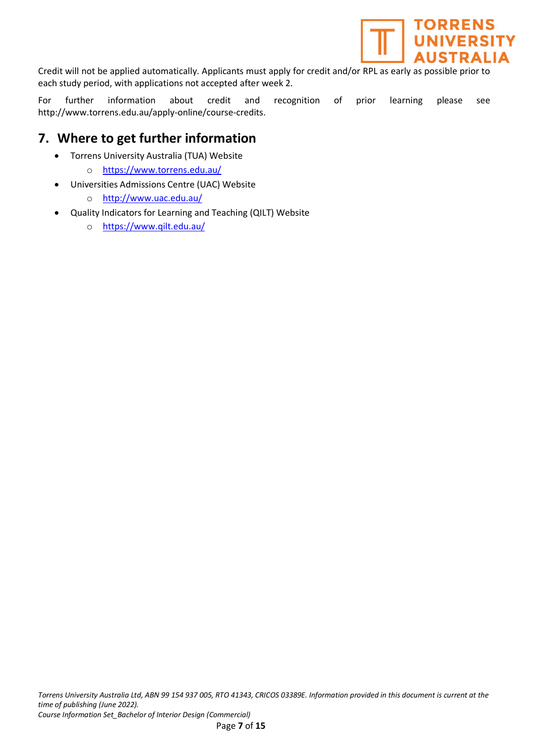

Credit will not be applied automatically. Applicants must apply for credit and/or RPL as early as possible prior to each study period, with applications not accepted after week 2.

For further information about credit and recognition of prior learning please see [http://www.torrens.edu.au/apply-online/course-credits.](http://www.torrens.edu.au/apply-online/course-credits)

## **7. Where to get further information**

- Torrens University Australia (TUA) Website
	- o <https://www.torrens.edu.au/>
	- [Universities Admissions Centre \(UAC\) Website](http://www.uac.edu.au/)
		- o <http://www.uac.edu.au/>
- [Quality Indicators for Learning and Teaching \(QILT\)](https://www.qilt.edu.au/) Website
	- o <https://www.qilt.edu.au/>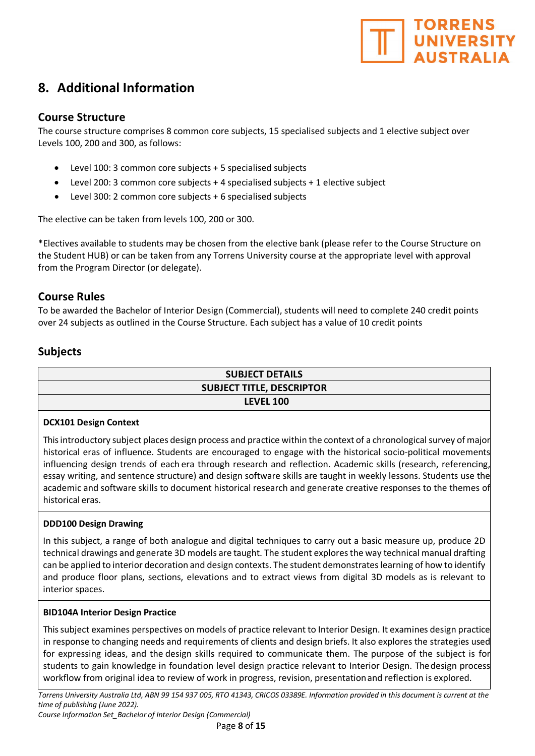

## **8. Additional Information**

### **Course Structure**

The course structure comprises 8 common core subjects, 15 specialised subjects and 1 elective subject over Levels 100, 200 and 300, as follows:

- Level 100: 3 common core subjects + 5 specialised subjects
- Level 200: 3 common core subjects + 4 specialised subjects + 1 elective subject
- Level 300: 2 common core subjects + 6 specialised subjects

The elective can be taken from levels 100, 200 or 300.

\*Electives available to students may be chosen from the elective bank (please refer to the Course Structure on the Student HUB) or can be taken from any Torrens University course at the appropriate level with approval from the Program Director (or delegate).

### **Course Rules**

To be awarded the Bachelor of Interior Design (Commercial), students will need to complete 240 credit points over 24 subjects as outlined in the Course Structure. Each subject has a value of 10 credit points

## **Subjects**

## **SUBJECT DETAILS SUBJECT TITLE, DESCRIPTOR LEVEL 100**

#### **DCX101 Design Context**

This introductory subject places design process and practice within the context of a chronological survey of major historical eras of influence. Students are encouraged to engage with the historical socio-political movements influencing design trends of each era through research and reflection. Academic skills (research, referencing, essay writing, and sentence structure) and design software skills are taught in weekly lessons. Students use the academic and software skills to document historical research and generate creative responses to the themes of historical eras.

#### **DDD100 Design Drawing**

In this subject, a range of both analogue and digital techniques to carry out a basic measure up, produce 2D technical drawings and generate 3D models are taught. The student explores the way technical manual drafting can be applied to interior decoration and design contexts. The student demonstrates learning of how to identify and produce floor plans, sections, elevations and to extract views from digital 3D models as is relevant to interior spaces.

#### **BID104A Interior Design Practice**

This subject examines perspectives on models of practice relevant to Interior Design. It examines design practice in response to changing needs and requirements of clients and design briefs. It also explores the strategies used for expressing ideas, and the design skills required to communicate them. The purpose of the subject is for students to gain knowledge in foundation level design practice relevant to Interior Design. Thedesign process workflow from original idea to review of work in progress, revision, presentationand reflection is explored.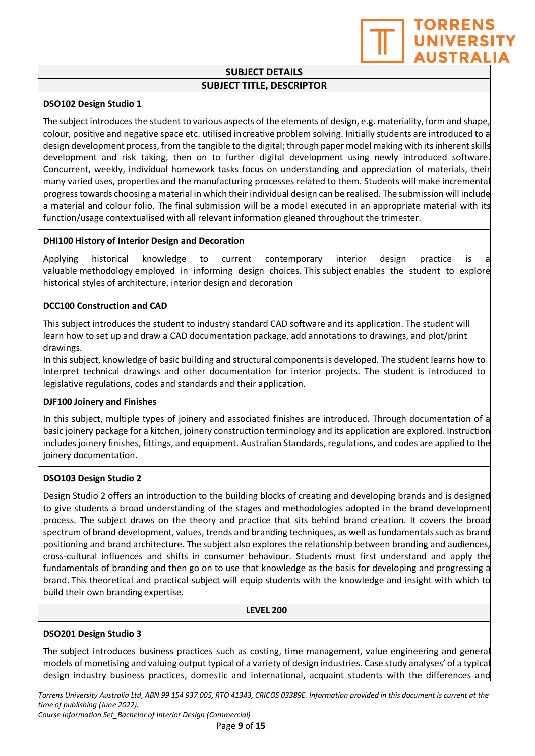**TORRENS UNIVERSIT AUSTRALIA** 

#### **DSO102 Design Studio 1**

The subject introduces the student to various aspects of the elements of design, e.g. materiality, form and shape, colour, positive and negative space etc. utilised increative problem solving. Initially students are introduced to a design development process, from the tangible to the digital; through paper model making with itsinherent skills development and risk taking, then on to further digital development using newly introduced software. Concurrent, weekly, individual homework tasks focus on understanding and appreciation of materials, their many varied uses, properties and the manufacturing processes related to them. Students will make incremental progress towards choosing a material in which their individual design can be realised. The submission will include a material and colour folio. The final submission will be a model executed in an appropriate material with its function/usage contextualised with all relevant information gleaned throughout the trimester.

#### **DHI100 History of Interior Design and Decoration**

Applying historical knowledge to current contemporary interior design practice is valuable methodology employed in informing design choices. This subject enables the student to explore historical styles of architecture, interior design and decoration

#### **DCC100 Construction and CAD**

This subject introduces the student to industry standard CAD software and its application. The student will learn how to set up and draw a CAD documentation package, add annotations to drawings, and plot/print drawings.

In this subject, knowledge of basic building and structural components is developed. The student learns how to interpret technical drawings and other documentation for interior projects. The student is introduced to legislative regulations, codes and standards and their application.

#### **DJF100 Joinery and Finishes**

In this subject, multiple types of joinery and associated finishes are introduced. Through documentation of a basic joinery package for a kitchen, joinery construction terminology and its application are explored. Instruction includes joinery finishes, fittings, and equipment. Australian Standards, regulations, and codes are applied to the joinery documentation.

#### **DSO103 Design Studio 2**

Design Studio 2 offers an introduction to the building blocks of creating and developing brands and is designed to give students a broad understanding of the stages and methodologies adopted in the brand development process. The subject draws on the theory and practice that sits behind brand creation. It covers the broad spectrum ofbrand development, values, trends and branding techniques, as well as fundamentalssuch as brand positioning and brand architecture. The subject also explores the relationship between branding and audiences, cross-cultural influences and shifts in consumer behaviour. Students must first understand and apply the fundamentals of branding and then go on to use that knowledge as the basis for developing and progressing a brand. This theoretical and practical subject will equip students with the knowledge and insight with which to build their own branding expertise.

**LEVEL 200**

#### **DSO201 Design Studio 3**

The subject introduces business practices such as costing, time management, value engineering and general models of monetising and valuing output typical of a variety of design industries. Case study analyses' of a typical design industry business practices, domestic and international, acquaint students with the differences and

*Torrens University Australia Ltd, ABN 99 154 937 005, RTO 41343, CRICOS 03389E. Information provided in this document is current at the time of publishing (June 2022).* 

*Course Information Set\_Bachelor of Interior Design (Commercial)*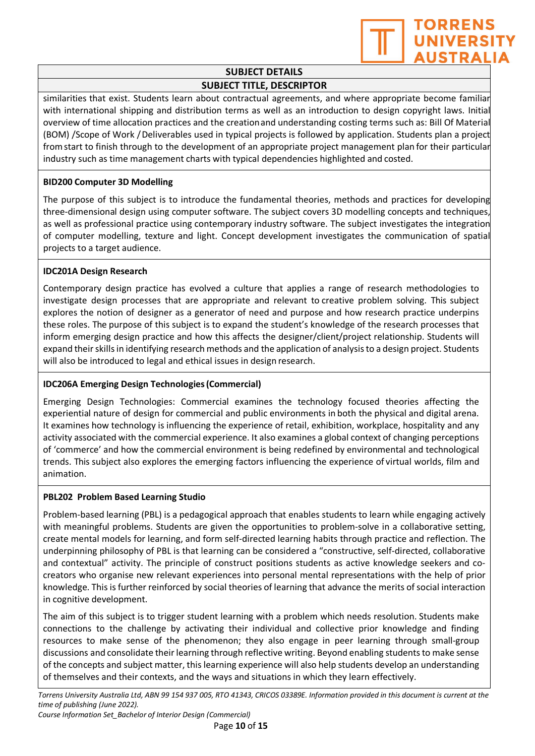

similarities that exist. Students learn about contractual agreements, and where appropriate become familiar with international shipping and distribution terms as well as an introduction to design copyright laws. Initial overview of time allocation practices and the creationand understanding costing terms such as: Bill Of Material (BOM) /Scope of Work /Deliverables used in typical projects is followed by application. Students plan a project fromstart to finish through to the development of an appropriate project management plan for their particular industry such as time management charts with typical dependencies highlighted and costed.

#### **BID200 Computer 3D Modelling**

The purpose of this subject is to introduce the fundamental theories, methods and practices for developing three-dimensional design using computer software. The subject covers 3D modelling concepts and techniques, as well as professional practice using contemporary industry software. The subject investigates the integration of computer modelling, texture and light. Concept development investigates the communication of spatial projects to a target audience.

#### **IDC201A Design Research**

Contemporary design practice has evolved a culture that applies a range of research methodologies to investigate design processes that are appropriate and relevant to creative problem solving. This subject explores the notion of designer as a generator of need and purpose and how research practice underpins these roles. The purpose of this subject is to expand the student's knowledge of the research processes that inform emerging design practice and how this affects the designer/client/project relationship. Students will expand their skills in identifying research methods and the application of analysis to a design project. Students will also be introduced to legal and ethical issues in design research.

#### **IDC206A Emerging Design Technologies(Commercial)**

Emerging Design Technologies: Commercial examines the technology focused theories affecting the experiential nature of design for commercial and public environments in both the physical and digital arena. It examines how technology is influencing the experience of retail, exhibition, workplace, hospitality and any activity associated with the commercial experience. It also examines a global context of changing perceptions of 'commerce' and how the commercial environment is being redefined by environmental and technological trends. This subject also explores the emerging factors influencing the experience of virtual worlds, film and animation.

#### **PBL202 Problem Based Learning Studio**

Problem-based learning (PBL) is a pedagogical approach that enables students to learn while engaging actively with meaningful problems. Students are given the opportunities to problem-solve in a collaborative setting, create mental models for learning, and form self-directed learning habits through practice and reflection. The underpinning philosophy of PBL is that learning can be considered a "constructive, self-directed, collaborative and contextual" activity. The principle of construct positions students as active knowledge seekers and cocreators who organise new relevant experiences into personal mental representations with the help of prior knowledge. This is further reinforced by social theories of learning that advance the merits of social interaction in cognitive development.

The aim of this subject is to trigger student learning with a problem which needs resolution. Students make connections to the challenge by activating their individual and collective prior knowledge and finding resources to make sense of the phenomenon; they also engage in peer learning through small-group discussions and consolidate their learning through reflective writing. Beyond enabling students to make sense of the concepts and subject matter, this learning experience will also help students develop an understanding of themselves and their contexts, and the ways and situations in which they learn effectively.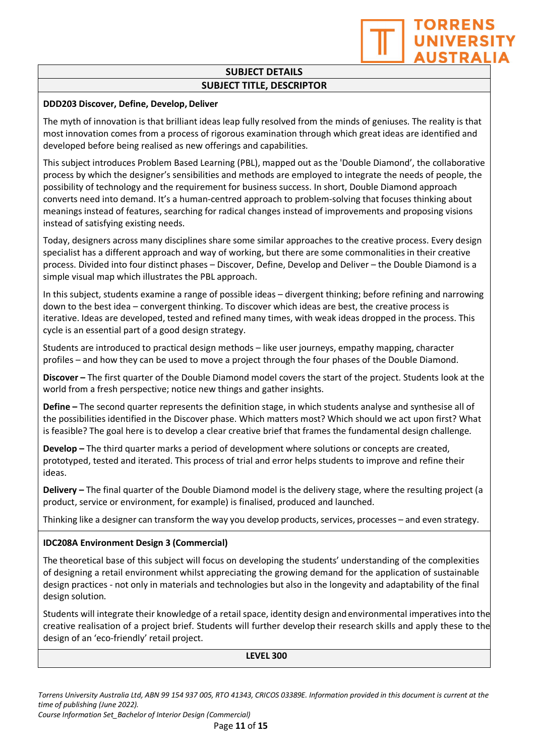**TORRENS UNIVERSI AUSTRALI** 

#### **DDD203 Discover, Define, Develop,Deliver**

The myth of innovation is that brilliant ideas leap fully resolved from the minds of geniuses. The reality is that most innovation comes from a process of rigorous examination through which great ideas are identified and developed before being realised as new offerings and capabilities.

This subject introduces Problem Based Learning (PBL), mapped out as the 'Double Diamond', the collaborative process by which the designer's sensibilities and methods are employed to integrate the needs of people, the possibility of technology and the requirement for business success. In short, Double Diamond approach converts need into demand. It's a human-centred approach to problem-solving that focuses thinking about meanings instead of features, searching for radical changes instead of improvements and proposing visions instead of satisfying existing needs.

Today, designers across many disciplines share some similar approaches to the creative process. Every design specialist has a different approach and way of working, but there are some commonalities in their creative process. Divided into four distinct phases – Discover, Define, Develop and Deliver – the Double Diamond is a simple visual map which illustrates the PBL approach.

In this subject, students examine a range of possible ideas – divergent thinking; before refining and narrowing down to the best idea – convergent thinking. To discover which ideas are best, the creative process is iterative. Ideas are developed, tested and refined many times, with weak ideas dropped in the process. This cycle is an essential part of a good design strategy.

Students are introduced to practical design methods – like user journeys, empathy mapping, character profiles – and how they can be used to move a project through the four phases of the Double Diamond.

**Discover –** The first quarter of the Double Diamond model covers the start of the project. Students look at the world from a fresh perspective; notice new things and gather insights.

**Define –** The second quarter represents the definition stage, in which students analyse and synthesise all of the possibilities identified in the Discover phase. Which matters most? Which should we act upon first? What is feasible? The goal here is to develop a clear creative brief that frames the fundamental design challenge.

**Develop –** The third quarter marks a period of development where solutions or concepts are created, prototyped, tested and iterated. This process of trial and error helps students to improve and refine their ideas.

**Delivery –** The final quarter of the Double Diamond model is the delivery stage, where the resulting project (a product, service or environment, for example) is finalised, produced and launched.

Thinking like a designer can transform the way you develop products, services, processes – and even strategy.

#### **IDC208A Environment Design 3 (Commercial)**

The theoretical base of this subject will focus on developing the students' understanding of the complexities of designing a retail environment whilst appreciating the growing demand for the application of sustainable design practices - not only in materials and technologies but also in the longevity and adaptability of the final design solution.

Students will integrate their knowledge of a retail space, identity design andenvironmental imperatives into the creative realisation of a project brief. Students will further develop their research skills and apply these to the design of an 'eco-friendly' retail project.

**LEVEL 300**

*Torrens University Australia Ltd, ABN 99 154 937 005, RTO 41343, CRICOS 03389E. Information provided in this document is current at the time of publishing (June 2022). Course Information Set\_Bachelor of Interior Design (Commercial)*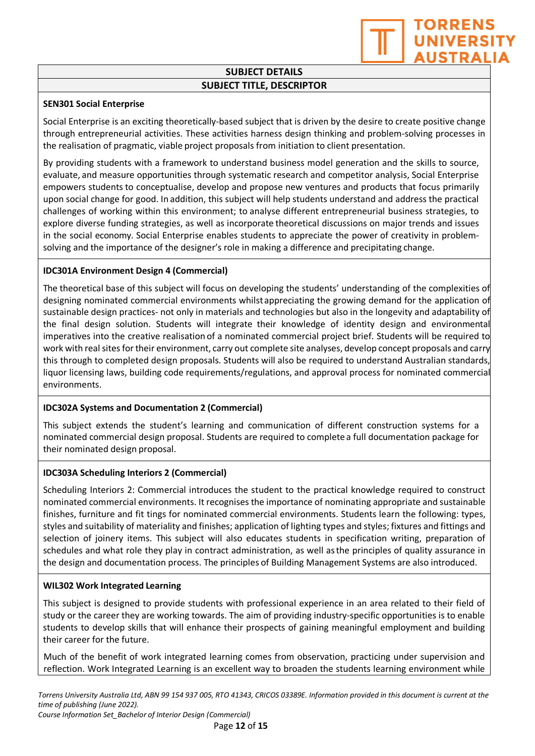TORRENS **UNIVERSI AUSTRALI** 

#### **SEN301 Social Enterprise**

Social Enterprise is an exciting theoretically-based subject that is driven by the desire to create positive change through entrepreneurial activities. These activities harness design thinking and problem-solving processes in the realisation of pragmatic, viable project proposals from initiation to client presentation.

By providing students with a framework to understand business model generation and the skills to source, evaluate, and measure opportunities through systematic research and competitor analysis, Social Enterprise empowers students to conceptualise, develop and propose new ventures and products that focus primarily upon social change for good. In addition, this subject will help students understand and address the practical challenges of working within this environment; to analyse different entrepreneurial business strategies, to explore diverse funding strategies, as well as incorporate theoretical discussions on major trends and issues in the social economy. Social Enterprise enables students to appreciate the power of creativity in problemsolving and the importance of the designer's role in making a difference and precipitating change.

#### **IDC301A Environment Design 4 (Commercial)**

The theoretical base of this subject will focus on developing the students' understanding of the complexities of designing nominated commercial environments whilst appreciating the growing demand for the application of sustainable design practices- not only in materials and technologies but also in the longevity and adaptability of the final design solution. Students will integrate their knowledge of identity design and environmental imperatives into the creative realisation of a nominated commercial project brief. Students will be required to work with real sites for their environment, carry out complete site analyses, develop concept proposals and carry this through to completed design proposals. Students will also be required to understand Australian standards, liquor licensing laws, building code requirements/regulations, and approval process for nominated commercial environments.

#### **IDC302A Systems and Documentation 2 (Commercial)**

This subject extends the student's learning and communication of different construction systems for a nominated commercial design proposal. Students are required to complete a full documentation package for their nominated design proposal.

#### **IDC303A Scheduling Interiors 2 (Commercial)**

Scheduling Interiors 2: Commercial introduces the student to the practical knowledge required to construct nominated commercial environments. It recognises the importance of nominating appropriate and sustainable finishes, furniture and fit tings for nominated commercial environments. Students learn the following: types, styles and suitability of materiality and finishes; application of lighting types and styles; fixtures and fittings and selection of joinery items. This subject will also educates students in specification writing, preparation of schedules and what role they play in contract administration, as well asthe principles of quality assurance in the design and documentation process. The principles of Building Management Systems are also introduced.

#### **WIL302 Work Integrated Learning**

This subject is designed to provide students with professional experience in an area related to their field of study or the career they are working towards. The aim of providing industry-specific opportunities is to enable students to develop skills that will enhance their prospects of gaining meaningful employment and building their career for the future.

Much of the benefit of work integrated learning comes from observation, practicing under supervision and reflection. Work Integrated Learning is an excellent way to broaden the students learning environment while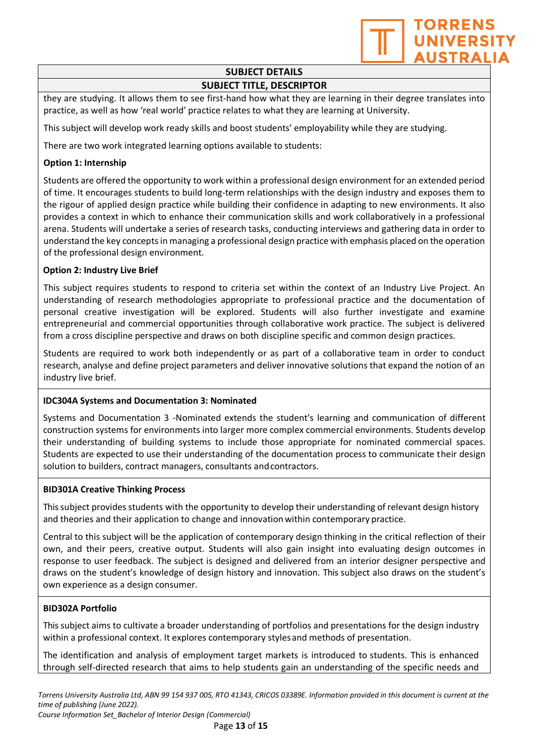

## **SUBJECT DETAILS**

### **SUBJECT TITLE, DESCRIPTOR**

they are studying. It allows them to see first-hand how what they are learning in their degree translates into practice, as well as how 'real world' practice relates to what they are learning at University.

This subject will develop work ready skills and boost students' employability while they are studying.

There are two work integrated learning options available to students:

#### **Option 1: Internship**

Students are offered the opportunity to work within a professional design environment for an extended period of time. It encourages students to build long-term relationships with the design industry and exposes them to the rigour of applied design practice while building their confidence in adapting to new environments. It also provides a context in which to enhance their communication skills and work collaboratively in a professional arena. Students will undertake a series of research tasks, conducting interviews and gathering data in order to understand the key concepts in managing a professional design practice with emphasis placed on the operation of the professional design environment.

#### **Option 2: Industry Live Brief**

This subject requires students to respond to criteria set within the context of an Industry Live Project. An understanding of research methodologies appropriate to professional practice and the documentation of personal creative investigation will be explored. Students will also further investigate and examine entrepreneurial and commercial opportunities through collaborative work practice. The subject is delivered from a cross discipline perspective and draws on both discipline specific and common design practices.

Students are required to work both independently or as part of a collaborative team in order to conduct research, analyse and define project parameters and deliver innovative solutions that expand the notion of an industry live brief.

#### **IDC304A Systems and Documentation 3: Nominated**

Systems and Documentation 3 -Nominated extends the student's learning and communication of different construction systems for environments into larger more complex commercial environments. Students develop their understanding of building systems to include those appropriate for nominated commercial spaces. Students are expected to use their understanding of the documentation process to communicate their design solution to builders, contract managers, consultants andcontractors.

#### **BID301A Creative Thinking Process**

This subject provides students with the opportunity to develop their understanding of relevant design history and theories and their application to change and innovation within contemporary practice.

Central to this subject will be the application of contemporary design thinking in the critical reflection of their own, and their peers, creative output. Students will also gain insight into evaluating design outcomes in response to user feedback. The subject is designed and delivered from an interior designer perspective and draws on the student's knowledge of design history and innovation. This subject also draws on the student's own experience as a design consumer.

#### **BID302A Portfolio**

This subject aims to cultivate a broader understanding of portfolios and presentations for the design industry within a professional context. It explores contemporary stylesand methods of presentation.

The identification and analysis of employment target markets is introduced to students. This is enhanced through self-directed research that aims to help students gain an understanding of the specific needs and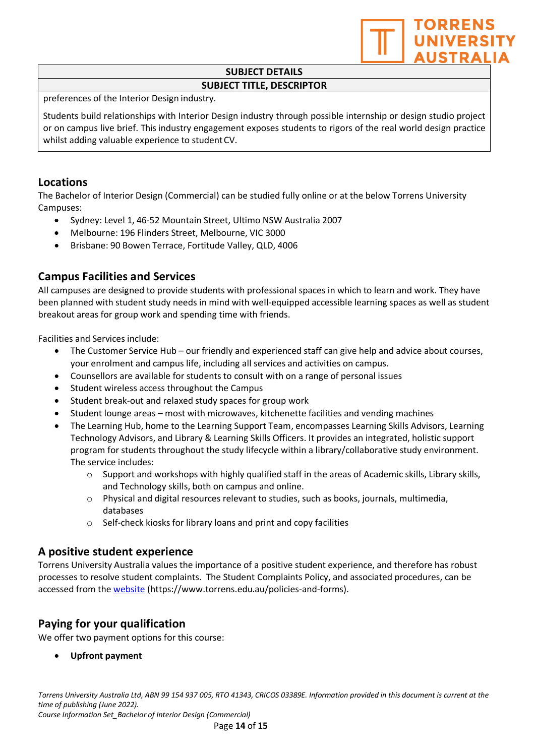

preferences of the Interior Design industry.

Students build relationships with Interior Design industry through possible internship or design studio project or on campus live brief. This industry engagement exposes students to rigors of the real world design practice whilst adding valuable experience to studentCV.

### **Locations**

The Bachelor of Interior Design (Commercial) can be studied fully online or at the below Torrens University Campuses:

- Sydney: Level 1, 46-52 Mountain Street, Ultimo NSW Australia 2007
- Melbourne: 196 Flinders Street, Melbourne, VIC 3000
- Brisbane: 90 Bowen Terrace, Fortitude Valley, QLD, 4006

## **Campus Facilities and Services**

All campuses are designed to provide students with professional spaces in which to learn and work. They have been planned with student study needs in mind with well-equipped accessible learning spaces as well as student breakout areas for group work and spending time with friends.

Facilities and Services include:

- The Customer Service Hub our friendly and experienced staff can give help and advice about courses, your enrolment and campus life, including all services and activities on campus.
- Counsellors are available for students to consult with on a range of personal issues
- Student wireless access throughout the Campus
- Student break-out and relaxed study spaces for group work
- Student lounge areas most with microwaves, kitchenette facilities and vending machines
- The Learning Hub, home to the Learning Support Team, encompasses Learning Skills Advisors, Learning Technology Advisors, and Library & Learning Skills Officers. It provides an integrated, holistic support program for students throughout the study lifecycle within a library/collaborative study environment. The service includes:
	- $\circ$  Support and workshops with highly qualified staff in the areas of Academic skills, Library skills, and Technology skills, both on campus and online.
	- $\circ$  Physical and digital resources relevant to studies, such as books, journals, multimedia, databases
	- o Self-check kiosks for library loans and print and copy facilities

### **A positive student experience**

Torrens University Australia values the importance of a positive student experience, and therefore has robust processes to resolve student complaints. The Student Complaints Policy, and associated procedures, can be accessed from the [website \(](http://www.torrens.edu.au/policies-and-forms)https://www.torrens.edu.au/policies-and-forms).

## **Paying for your qualification**

We offer two payment options for this course:

• **Upfront payment**